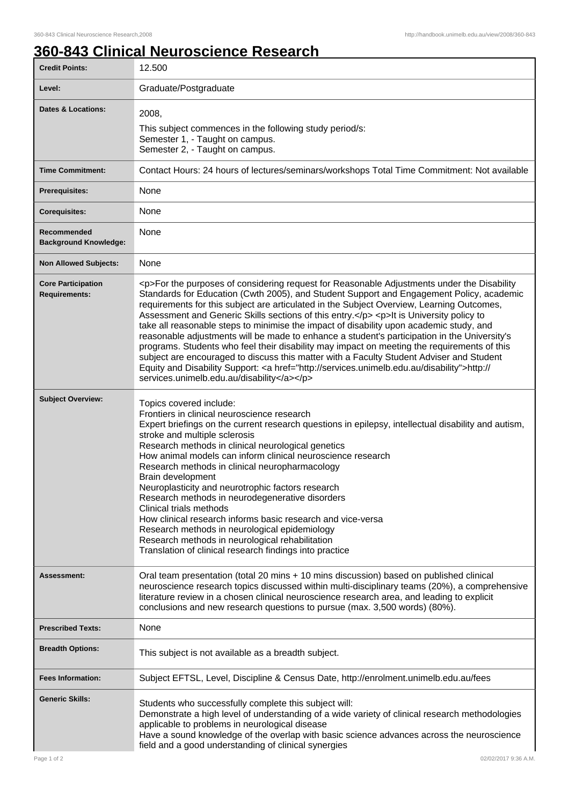## **360-843 Clinical Neuroscience Research**

| <b>Credit Points:</b>                             | 12.500                                                                                                                                                                                                                                                                                                                                                                                                                                                                                                                                                                                                                                                                                                                                                                                                                                                                                                                       |
|---------------------------------------------------|------------------------------------------------------------------------------------------------------------------------------------------------------------------------------------------------------------------------------------------------------------------------------------------------------------------------------------------------------------------------------------------------------------------------------------------------------------------------------------------------------------------------------------------------------------------------------------------------------------------------------------------------------------------------------------------------------------------------------------------------------------------------------------------------------------------------------------------------------------------------------------------------------------------------------|
| Level:                                            | Graduate/Postgraduate                                                                                                                                                                                                                                                                                                                                                                                                                                                                                                                                                                                                                                                                                                                                                                                                                                                                                                        |
| <b>Dates &amp; Locations:</b>                     | 2008,<br>This subject commences in the following study period/s:<br>Semester 1, - Taught on campus.<br>Semester 2, - Taught on campus.                                                                                                                                                                                                                                                                                                                                                                                                                                                                                                                                                                                                                                                                                                                                                                                       |
| <b>Time Commitment:</b>                           | Contact Hours: 24 hours of lectures/seminars/workshops Total Time Commitment: Not available                                                                                                                                                                                                                                                                                                                                                                                                                                                                                                                                                                                                                                                                                                                                                                                                                                  |
| <b>Prerequisites:</b>                             | None                                                                                                                                                                                                                                                                                                                                                                                                                                                                                                                                                                                                                                                                                                                                                                                                                                                                                                                         |
| <b>Corequisites:</b>                              | None                                                                                                                                                                                                                                                                                                                                                                                                                                                                                                                                                                                                                                                                                                                                                                                                                                                                                                                         |
| Recommended<br><b>Background Knowledge:</b>       | None                                                                                                                                                                                                                                                                                                                                                                                                                                                                                                                                                                                                                                                                                                                                                                                                                                                                                                                         |
| <b>Non Allowed Subjects:</b>                      | None                                                                                                                                                                                                                                                                                                                                                                                                                                                                                                                                                                                                                                                                                                                                                                                                                                                                                                                         |
| <b>Core Participation</b><br><b>Requirements:</b> | <p>For the purposes of considering request for Reasonable Adjustments under the Disability<br/>Standards for Education (Cwth 2005), and Student Support and Engagement Policy, academic<br/>requirements for this subject are articulated in the Subject Overview, Learning Outcomes,<br/>Assessment and Generic Skills sections of this entry.</p> <p>lt is University policy to<br/>take all reasonable steps to minimise the impact of disability upon academic study, and<br/>reasonable adjustments will be made to enhance a student's participation in the University's<br/>programs. Students who feel their disability may impact on meeting the requirements of this<br/>subject are encouraged to discuss this matter with a Faculty Student Adviser and Student<br/>Equity and Disability Support: &lt; a href="http://services.unimelb.edu.au/disability"&gt;http://<br/>services.unimelb.edu.au/disability</p> |
| <b>Subject Overview:</b>                          | Topics covered include:<br>Frontiers in clinical neuroscience research<br>Expert briefings on the current research questions in epilepsy, intellectual disability and autism,<br>stroke and multiple sclerosis<br>Research methods in clinical neurological genetics<br>How animal models can inform clinical neuroscience research<br>Research methods in clinical neuropharmacology<br>Brain development<br>Neuroplasticity and neurotrophic factors research<br>Research methods in neurodegenerative disorders<br>Clinical trials methods<br>How clinical research informs basic research and vice-versa<br>Research methods in neurological epidemiology<br>Research methods in neurological rehabilitation<br>Translation of clinical research findings into practice                                                                                                                                                  |
| Assessment:                                       | Oral team presentation (total 20 mins + 10 mins discussion) based on published clinical<br>neuroscience research topics discussed within multi-disciplinary teams (20%), a comprehensive<br>literature review in a chosen clinical neuroscience research area, and leading to explicit<br>conclusions and new research questions to pursue (max. 3,500 words) (80%).                                                                                                                                                                                                                                                                                                                                                                                                                                                                                                                                                         |
| <b>Prescribed Texts:</b>                          | None                                                                                                                                                                                                                                                                                                                                                                                                                                                                                                                                                                                                                                                                                                                                                                                                                                                                                                                         |
| <b>Breadth Options:</b>                           | This subject is not available as a breadth subject.                                                                                                                                                                                                                                                                                                                                                                                                                                                                                                                                                                                                                                                                                                                                                                                                                                                                          |
| <b>Fees Information:</b>                          | Subject EFTSL, Level, Discipline & Census Date, http://enrolment.unimelb.edu.au/fees                                                                                                                                                                                                                                                                                                                                                                                                                                                                                                                                                                                                                                                                                                                                                                                                                                         |
| <b>Generic Skills:</b>                            | Students who successfully complete this subject will:<br>Demonstrate a high level of understanding of a wide variety of clinical research methodologies<br>applicable to problems in neurological disease<br>Have a sound knowledge of the overlap with basic science advances across the neuroscience<br>field and a good understanding of clinical synergies                                                                                                                                                                                                                                                                                                                                                                                                                                                                                                                                                               |